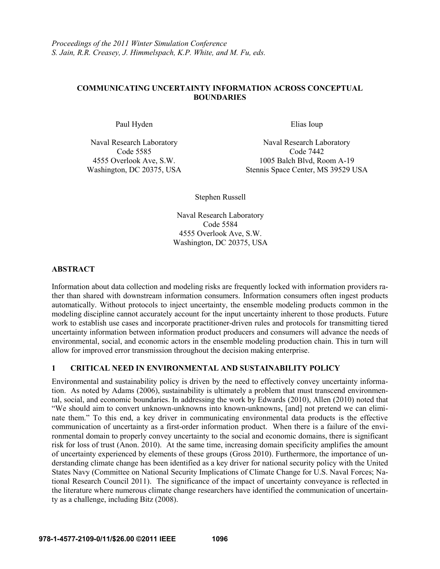## **COMMUNICATING UNCERTAINTY INFORMATION ACROSS CONCEPTUAL BOUNDARIES**

Paul Hyden Elias Ioup

Naval Research Laboratory Naval Research Laboratory Code 5585 Code 7442 4555 Overlook Ave, S.W. 1005 Balch Blvd, Room A-19 Washington, DC 20375, USA Stennis Space Center, MS 39529 USA

Stephen Russell

Naval Research Laboratory Code 5584 4555 Overlook Ave, S.W. Washington, DC 20375, USA

## **ABSTRACT**

Information about data collection and modeling risks are frequently locked with information providers rather than shared with downstream information consumers. Information consumers often ingest products automatically. Without protocols to inject uncertainty, the ensemble modeling products common in the modeling discipline cannot accurately account for the input uncertainty inherent to those products. Future work to establish use cases and incorporate practitioner-driven rules and protocols for transmitting tiered uncertainty information between information product producers and consumers will advance the needs of environmental, social, and economic actors in the ensemble modeling production chain. This in turn will allow for improved error transmission throughout the decision making enterprise.

## **1 CRITICAL NEED IN ENVIRONMENTAL AND SUSTAINABILITY POLICY**

Environmental and sustainability policy is driven by the need to effectively convey uncertainty information. As noted by Adams (2006), sustainability is ultimately a problem that must transcend environmental, social, and economic boundaries. In addressing the work by Edwards (2010), Allen (2010) noted that ―We should aim to convert unknown-unknowns into known-unknowns, [and] not pretend we can eliminate them." To this end, a key driver in communicating environmental data products is the effective communication of uncertainty as a first-order information product. When there is a failure of the environmental domain to properly convey uncertainty to the social and economic domains, there is significant risk for loss of trust (Anon. 2010). At the same time, increasing domain specificity amplifies the amount of uncertainty experienced by elements of these groups (Gross 2010). Furthermore, the importance of understanding climate change has been identified as a key driver for national security policy with the United States Navy (Committee on National Security Implications of Climate Change for U.S. Naval Forces; National Research Council 2011). The significance of the impact of uncertainty conveyance is reflected in the literature where numerous climate change researchers have identified the communication of uncertainty as a challenge, including Bitz (2008).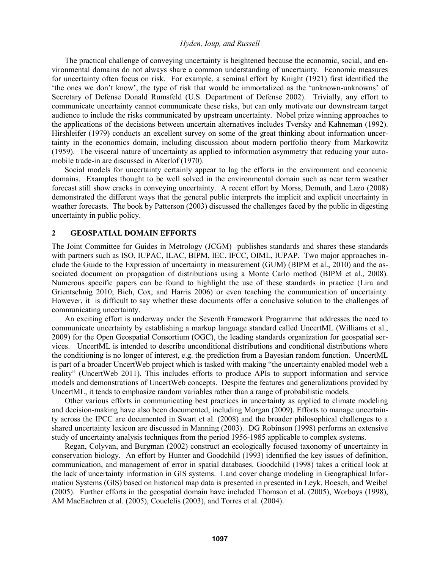The practical challenge of conveying uncertainty is heightened because the economic, social, and environmental domains do not always share a common understanding of uncertainty. Economic measures for uncertainty often focus on risk. For example, a seminal effort by Knight (1921) first identified the ‗the ones we don't know', the type of risk that would be immortalized as the ‗unknown-unknowns' of Secretary of Defense Donald Rumsfeld (U.S. Department of Defense 2002). Trivially, any effort to communicate uncertainty cannot communicate these risks, but can only motivate our downstream target audience to include the risks communicated by upstream uncertainty. Nobel prize winning approaches to the applications of the decisions between uncertain alternatives includes Tversky and Kahneman (1992). Hirshleifer (1979) conducts an excellent survey on some of the great thinking about information uncertainty in the economics domain, including discussion about modern portfolio theory from Markowitz (1959). The visceral nature of uncertainty as applied to information asymmetry that reducing your automobile trade-in are discussed in Akerlof (1970).

Social models for uncertainty certainly appear to lag the efforts in the environment and economic domains. Examples thought to be well solved in the environmental domain such as near term weather forecast still show cracks in conveying uncertainty. A recent effort by Morss, Demuth, and Lazo (2008) demonstrated the different ways that the general public interprets the implicit and explicit uncertainty in weather forecasts. The book by Patterson (2003) discussed the challenges faced by the public in digesting uncertainty in public policy.

#### **2 GEOSPATIAL DOMAIN EFFORTS**

The Joint Committee for Guides in Metrology (JCGM) publishes standards and shares these standards with partners such as ISO, IUPAC, ILAC, BIPM, IEC, IFCC, OIML, IUPAP. Two major approaches include the Guide to the Expression of uncertainty in measurement (GUM) (BIPM et al., 2010) and the associated document on propagation of distributions using a Monte Carlo method (BIPM et al., 2008). Numerous specific papers can be found to highlight the use of these standards in practice (Lira and Grientschnig 2010; Bich, Cox, and Harris 2006) or even teaching the communication of uncertainty. However, it is difficult to say whether these documents offer a conclusive solution to the challenges of communicating uncertainty.

An exciting effort is underway under the Seventh Framework Programme that addresses the need to communicate uncertainty by establishing a markup language standard called UncertML (Williams et al., 2009) for the Open Geospatial Consortium (OGC), the leading standards organization for geospatial services. UncertML is intended to describe unconditional distributions and conditional distributions where the conditioning is no longer of interest, e.g. the prediction from a Bayesian random function. UncertML is part of a broader UncertWeb project which is tasked with making "the uncertainty enabled model web a reality" (UncertWeb 2011). This includes efforts to produce APIs to support information and service models and demonstrations of UncertWeb concepts. Despite the features and generalizations provided by UncertML, it tends to emphasize random variables rather than a range of probabilistic models.

Other various efforts in communicating best practices in uncertainty as applied to climate modeling and decision-making have also been documented, including Morgan (2009). Efforts to manage uncertainty across the IPCC are documented in Swart et al. (2008) and the broader philosophical challenges to a shared uncertainty lexicon are discussed in Manning (2003). DG Robinson (1998) performs an extensive study of uncertainty analysis techniques from the period 1956-1985 applicable to complex systems.

Regan, Colyvan, and Burgman (2002) construct an ecologically focused taxonomy of uncertainty in conservation biology. An effort by Hunter and Goodchild (1993) identified the key issues of definition, communication, and management of error in spatial databases. Goodchild (1998) takes a critical look at the lack of uncertainty information in GIS systems. Land cover change modeling in Geographical Information Systems (GIS) based on historical map data is presented in presented in Leyk, Boesch, and Weibel (2005). Further efforts in the geospatial domain have included Thomson et al. (2005), Worboys (1998), AM MacEachren et al. (2005), Couclelis (2003), and Torres et al. (2004).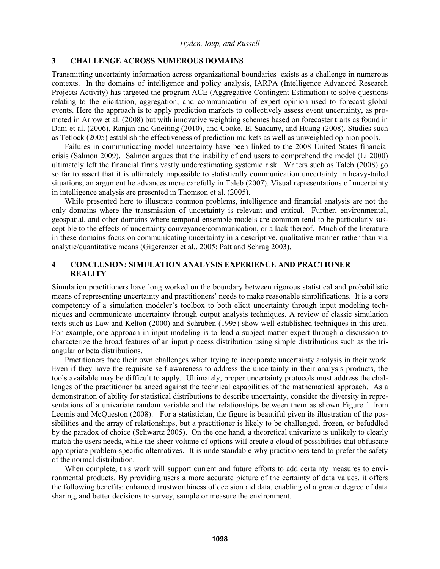#### **3 CHALLENGE ACROSS NUMEROUS DOMAINS**

Transmitting uncertainty information across organizational boundaries exists as a challenge in numerous contexts. In the domains of intelligence and policy analysis, IARPA (Intelligence Advanced Research Projects Activity) has targeted the program ACE (Aggregative Contingent Estimation) to solve questions relating to the elicitation, aggregation, and communication of expert opinion used to forecast global events. Here the approach is to apply prediction markets to collectively assess event uncertainty, as promoted in Arrow et al. (2008) but with innovative weighting schemes based on forecaster traits as found in Dani et al. (2006), Ranjan and Gneiting (2010), and Cooke, El Saadany, and Huang (2008). Studies such as Tetlock (2005) establish the effectiveness of prediction markets as well as unweighted opinion pools.

Failures in communicating model uncertainty have been linked to the 2008 United States financial crisis (Salmon 2009). Salmon argues that the inability of end users to comprehend the model (Li 2000) ultimately left the financial firms vastly underestimating systemic risk. Writers such as Taleb (2008) go so far to assert that it is ultimately impossible to statistically communication uncertainty in heavy-tailed situations, an argument he advances more carefully in Taleb (2007). Visual representations of uncertainty in intelligence analysis are presented in Thomson et al. (2005).

While presented here to illustrate common problems, intelligence and financial analysis are not the only domains where the transmission of uncertainty is relevant and critical. Further, environmental, geospatial, and other domains where temporal ensemble models are common tend to be particularly susceptible to the effects of uncertainty conveyance/communication, or a lack thereof. Much of the literature in these domains focus on communicating uncertainty in a descriptive, qualitative manner rather than via analytic/quantitative means (Gigerenzer et al., 2005; Patt and Schrag 2003).

## **4 CONCLUSION: SIMULATION ANALYSIS EXPERIENCE AND PRACTIONER REALITY**

Simulation practitioners have long worked on the boundary between rigorous statistical and probabilistic means of representing uncertainty and practitioners' needs to make reasonable simplifications. It is a core competency of a simulation modeler's toolbox to both elicit uncertainty through input modeling techniques and communicate uncertainty through output analysis techniques. A review of classic simulation texts such as Law and Kelton (2000) and Schruben (1995) show well established techniques in this area. For example, one approach in input modeling is to lead a subject matter expert through a discussion to characterize the broad features of an input process distribution using simple distributions such as the triangular or beta distributions.

Practitioners face their own challenges when trying to incorporate uncertainty analysis in their work. Even if they have the requisite self-awareness to address the uncertainty in their analysis products, the tools available may be difficult to apply. Ultimately, proper uncertainty protocols must address the challenges of the practitioner balanced against the technical capabilities of the mathematical approach. As a demonstration of ability for statistical distributions to describe uncertainty, consider the diversity in representations of a univariate random variable and the relationships between them as shown Figure 1 from Leemis and McQueston (2008). For a statistician, the figure is beautiful given its illustration of the possibilities and the array of relationships, but a practitioner is likely to be challenged, frozen, or befuddled by the paradox of choice (Schwartz 2005). On the one hand, a theoretical univariate is unlikely to clearly match the users needs, while the sheer volume of options will create a cloud of possibilities that obfuscate appropriate problem-specific alternatives. It is understandable why practitioners tend to prefer the safety of the normal distribution.

When complete, this work will support current and future efforts to add certainty measures to environmental products. By providing users a more accurate picture of the certainty of data values, it offers the following benefits: enhanced trustworthiness of decision aid data, enabling of a greater degree of data sharing, and better decisions to survey, sample or measure the environment.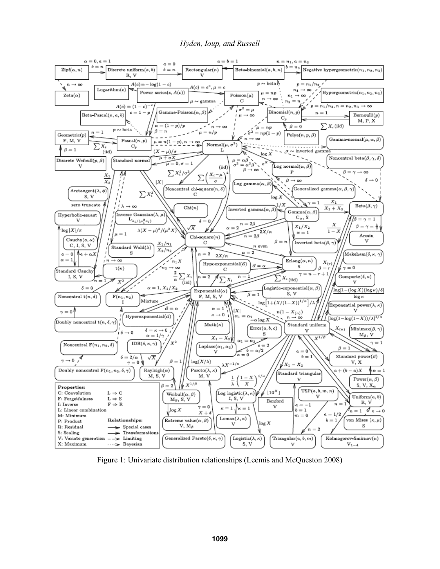

Figure 1: Univariate distribution relationships (Leemis and McQueston 2008)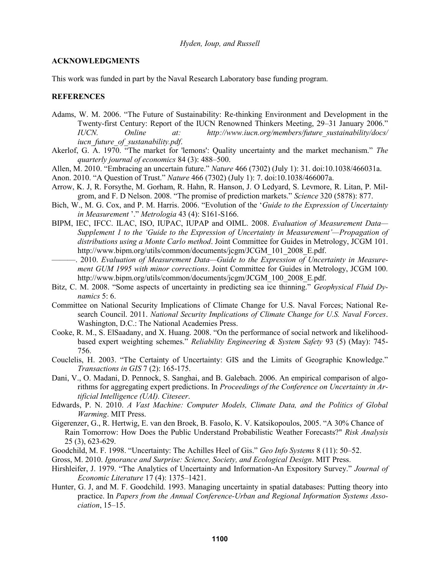## **ACKNOWLEDGMENTS**

This work was funded in part by the Naval Research Laboratory base funding program.

## **REFERENCES**

- Adams, W. M. 2006. "The Future of Sustainability: Re-thinking Environment and Development in the Twenty-first Century: Report of the IUCN Renowned Thinkers Meeting, 29–31 January 2006." *IUCN. Online at: http://www.iucn.org/members/future\_sustainability/docs/ iucn\_future\_of\_sustanability.pdf*.
- Akerlof, G. A. 1970. "The market for 'lemons': Quality uncertainty and the market mechanism." The *quarterly journal of economics* 84 (3): 488–500.
- Allen, M. 2010. ―Embracing an uncertain future.‖ *Nature* 466 (7302) (July 1): 31. doi:10.1038/466031a.
- Anon. 2010. "A Question of Trust." *Nature* 466 (7302) (July 1): 7. doi:10.1038/466007a.
- Arrow, K. J, R. Forsythe, M. Gorham, R. Hahn, R. Hanson, J. O Ledyard, S. Levmore, R. Litan, P. Milgrom, and F. D Nelson. 2008. "The promise of prediction markets." *Science* 320 (5878): 877.
- Bich, W., M. G. Cox, and P. M. Harris. 2006. "Evolution of the 'Guide to the Expression of Uncertainty *in Measurement* '.‖ *Metrologia* 43 (4): S161-S166.
- BIPM, IEC, IFCC. ILAC, ISO, IUPAC, IUPAP and OIML. 2008. *Evaluation of Measurement Data— Supplement 1 to the 'Guide to the Expression of Uncertainty in Measurement'—Propagation of distributions using a Monte Carlo method*. Joint Committee for Guides in Metrology, JCGM 101. http://www.bipm.org/utils/common/documents/jcgm/JCGM\_101\_2008\_E.pdf.
	- ———. 2010. *Evaluation of Measurement Data—Guide to the Expression of Uncertainty in Measurement GUM 1995 with minor corrections*. Joint Committee for Guides in Metrology, JCGM 100. http://www.bipm.org/utils/common/documents/jcgm/JCGM\_100\_2008\_E.pdf.
- Bitz, C. M. 2008. "Some aspects of uncertainty in predicting sea ice thinning." *Geophysical Fluid Dynamics* 5: 6.
- Committee on National Security Implications of Climate Change for U.S. Naval Forces; National Research Council. 2011. *National Security Implications of Climate Change for U.S. Naval Forces*. Washington, D.C.: The National Academies Press.
- Cooke, R. M., S. ElSaadany, and X. Huang. 2008. "On the performance of social network and likelihoodbased expert weighting schemes." *Reliability Engineering & System Safety* 93 (5) (May): 745-756.
- Couclelis, H. 2003. "The Certainty of Uncertainty: GIS and the Limits of Geographic Knowledge." *Transactions in GIS* 7 (2): 165-175.
- Dani, V., O. Madani, D. Pennock, S. Sanghai, and B. Galebach. 2006. An empirical comparison of algorithms for aggregating expert predictions. In *Proceedings of the Conference on Uncertainty in Artificial Intelligence (UAI). Citeseer*.
- Edwards, P. N. 2010. *A Vast Machine: Computer Models, Climate Data, and the Politics of Global Warming*. MIT Press.
- Gigerenzer, G., R. Hertwig, E. van den Broek, B. Fasolo, K. V. Katsikopoulos, 2005. "A 30% Chance of Rain Tomorrow: How Does the Public Understand Probabilistic Weather Forecasts?" *Risk Analysis* 25 (3), 623-629.
- Goodchild, M. F. 1998. "Uncertainty: The Achilles Heel of Gis." *Geo Info Systems* 8 (11): 50–52.
- Gross, M. 2010. *Ignorance and Surprise: Science, Society, and Ecological Design*. MIT Press.
- Hirshleifer, J. 1979. "The Analytics of Uncertainty and Information-An Expository Survey." *Journal of Economic Literature* 17 (4): 1375–1421.
- Hunter, G. J, and M. F. Goodchild. 1993. Managing uncertainty in spatial databases: Putting theory into practice. In *Papers from the Annual Conference-Urban and Regional Information Systems Association*, 15–15.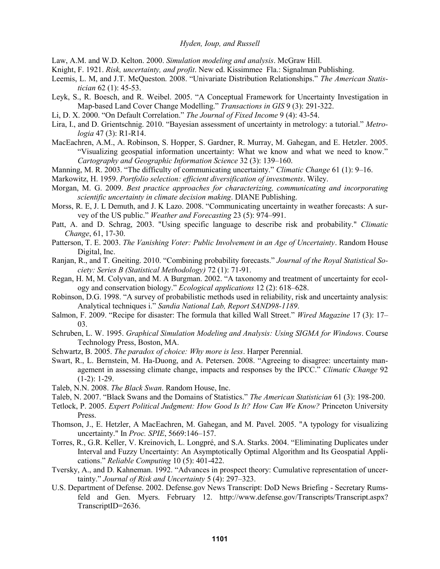Law, A.M. and W.D. Kelton. 2000. *Simulation modeling and analysis*. McGraw Hill.

Knight, F. 1921. *Risk, uncertainty, and profit*. New ed. Kissimmee Fla.: Signalman Publishing.

- Leemis, L. M, and J.T. McQueston. 2008. "Univariate Distribution Relationships." The American Statis*tician* 62 (1): 45-53.
- Leyk, S., R. Boesch, and R. Weibel. 2005. "A Conceptual Framework for Uncertainty Investigation in Map-based Land Cover Change Modelling." *Transactions in GIS* 9 (3): 291-322.
- Li, D. X. 2000. "On Default Correlation." *The Journal of Fixed Income* 9 (4): 43-54.
- Lira, I., and D. Grientschnig. 2010. "Bayesian assessment of uncertainty in metrology: a tutorial." *Metrologia* 47 (3): R1-R14.
- MacEachren, A.M., A. Robinson, S. Hopper, S. Gardner, R. Murray, M. Gahegan, and E. Hetzler. 2005. "Visualizing geospatial information uncertainty: What we know and what we need to know." *Cartography and Geographic Information Science* 32 (3): 139–160.
- Manning, M. R. 2003. "The difficulty of communicating uncertainty." *Climatic Change* 61 (1): 9–16.
- Markowitz, H. 1959. *Portfolio selection: efficient diversification of investments*. Wiley.
- Morgan, M. G. 2009. *Best practice approaches for characterizing, communicating and incorporating scientific uncertainty in climate decision making*. DIANE Publishing.
- Morss, R. E. J. L Demuth, and J. K Lazo. 2008. "Communicating uncertainty in weather forecasts: A survey of the US public." *Weather and Forecasting* 23 (5): 974–991.
- Patt, A. and D. Schrag, 2003. "Using specific language to describe risk and probability." *Climatic Change*, 61, 17-30.
- Patterson, T. E. 2003. *The Vanishing Voter: Public Involvement in an Age of Uncertainty*. Random House Digital, Inc.
- Ranjan, R., and T. Gneiting. 2010. "Combining probability forecasts." Journal of the Royal Statistical So*ciety: Series B (Statistical Methodology)* 72 (1): 71-91.
- Regan, H. M, M. Colyvan, and M. A Burgman. 2002. "A taxonomy and treatment of uncertainty for ecology and conservation biology.‖ *Ecological applications* 12 (2): 618–628.
- Robinson, D.G. 1998. "A survey of probabilistic methods used in reliability, risk and uncertainty analysis: Analytical techniques i." Sandia National Lab, Report SAND98-1189.
- Salmon, F. 2009. "Recipe for disaster: The formula that killed Wall Street." *Wired Magazine* 17 (3): 17– 03.
- Schruben, L. W. 1995. *Graphical Simulation Modeling and Analysis: Using SIGMA for Windows*. Course Technology Press, Boston, MA.
- Schwartz, B. 2005. *The paradox of choice: Why more is less*. Harper Perennial.
- Swart, R., L. Bernstein, M. Ha-Duong, and A. Petersen. 2008. "Agreeing to disagree: uncertainty management in assessing climate change, impacts and responses by the IPCC." *Climatic Change* 92  $(1-2): 1-29.$
- Taleb, N.N. 2008. *The Black Swan*. Random House, Inc.
- Taleb, N. 2007. "Black Swans and the Domains of Statistics." *The American Statistician* 61 (3): 198-200.
- Tetlock, P. 2005. *Expert Political Judgment: How Good Is It? How Can We Know?* Princeton University Press.
- Thomson, J., E. Hetzler, A MacEachren, M. Gahegan, and M. Pavel. 2005. "A typology for visualizing uncertainty." In *Proc. SPIE*, 5669:146–157.
- Torres, R., G.R. Keller, V. Kreinovich, L. Longpré, and S.A. Starks. 2004. "Eliminating Duplicates under Interval and Fuzzy Uncertainty: An Asymptotically Optimal Algorithm and Its Geospatial Applications.‖ *Reliable Computing* 10 (5): 401-422.
- Tversky, A., and D. Kahneman. 1992. "Advances in prospect theory: Cumulative representation of uncertainty." *Journal of Risk and Uncertainty* 5 (4): 297–323.
- U.S. Department of Defense. 2002. Defense.gov News Transcript: DoD News Briefing Secretary Rumsfeld and Gen. Myers. February 12. http://www.defense.gov/Transcripts/Transcript.aspx? TranscriptID=2636.